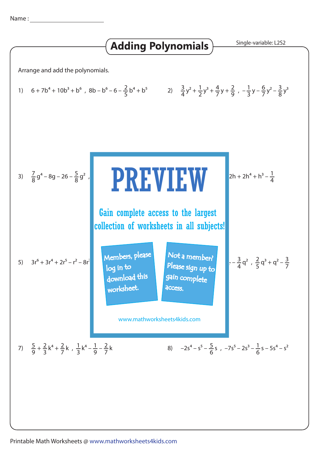